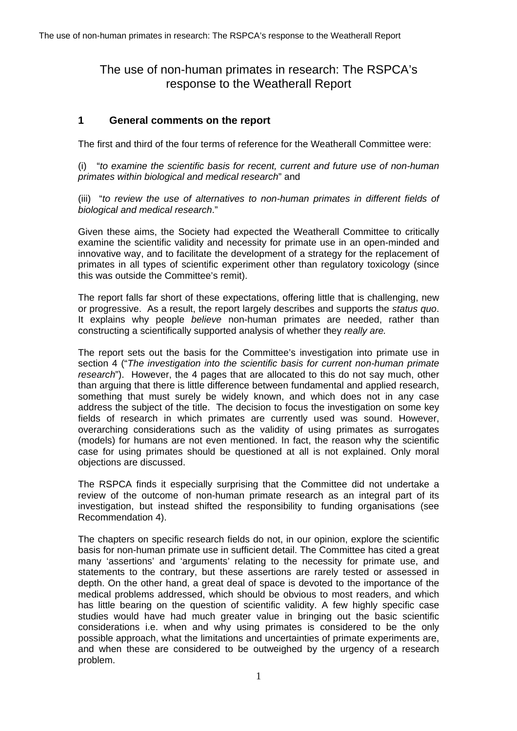# The use of non-human primates in research: The RSPCA's response to the Weatherall Report

## **1 General comments on the report**

The first and third of the four terms of reference for the Weatherall Committee were:

(i) "*to examine the scientific basis for recent, current and future use of non-human primates within biological and medical research*" and

(iii) "*to review the use of alternatives to non-human primates in different fields of biological and medical research*."

Given these aims, the Society had expected the Weatherall Committee to critically examine the scientific validity and necessity for primate use in an open-minded and innovative way, and to facilitate the development of a strategy for the replacement of primates in all types of scientific experiment other than regulatory toxicology (since this was outside the Committee's remit).

The report falls far short of these expectations, offering little that is challenging, new or progressive. As a result, the report largely describes and supports the *status quo*. It explains why people *believe* non-human primates are needed, rather than constructing a scientifically supported analysis of whether they *really are.*

The report sets out the basis for the Committee's investigation into primate use in section 4 ("*The investigation into the scientific basis for current non-human primate research*"). However, the 4 pages that are allocated to this do not say much, other than arguing that there is little difference between fundamental and applied research, something that must surely be widely known, and which does not in any case address the subject of the title. The decision to focus the investigation on some key fields of research in which primates are currently used was sound. However, overarching considerations such as the validity of using primates as surrogates (models) for humans are not even mentioned. In fact, the reason why the scientific case for using primates should be questioned at all is not explained. Only moral objections are discussed.

The RSPCA finds it especially surprising that the Committee did not undertake a review of the outcome of non-human primate research as an integral part of its investigation, but instead shifted the responsibility to funding organisations (see Recommendation 4).

The chapters on specific research fields do not, in our opinion, explore the scientific basis for non-human primate use in sufficient detail. The Committee has cited a great many 'assertions' and 'arguments' relating to the necessity for primate use, and statements to the contrary, but these assertions are rarely tested or assessed in depth. On the other hand, a great deal of space is devoted to the importance of the medical problems addressed, which should be obvious to most readers, and which has little bearing on the question of scientific validity. A few highly specific case studies would have had much greater value in bringing out the basic scientific considerations i.e. when and why using primates is considered to be the only possible approach, what the limitations and uncertainties of primate experiments are, and when these are considered to be outweighed by the urgency of a research problem.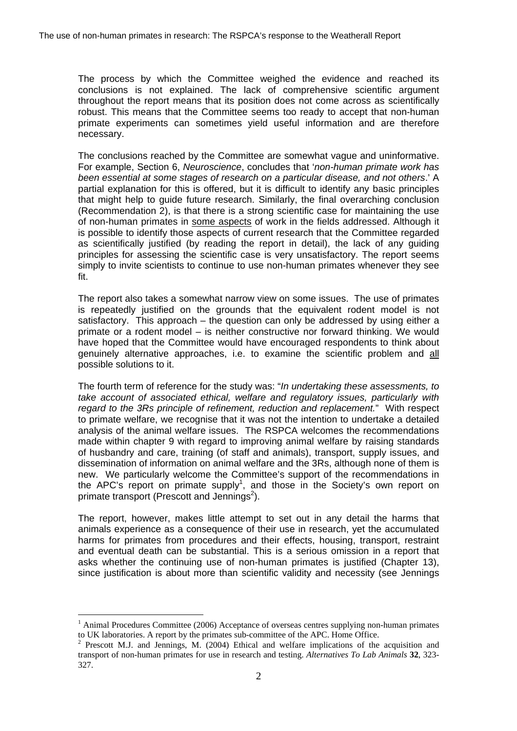The process by which the Committee weighed the evidence and reached its conclusions is not explained. The lack of comprehensive scientific argument throughout the report means that its position does not come across as scientifically robust. This means that the Committee seems too ready to accept that non-human primate experiments can sometimes yield useful information and are therefore necessary.

The conclusions reached by the Committee are somewhat vague and uninformative. For example, Section 6, *Neuroscience*, concludes that '*non-human primate work has been essential at some stages of research on a particular disease, and not others*.' A partial explanation for this is offered, but it is difficult to identify any basic principles that might help to guide future research. Similarly, the final overarching conclusion (Recommendation 2), is that there is a strong scientific case for maintaining the use of non-human primates in some aspects of work in the fields addressed. Although it is possible to identify those aspects of current research that the Committee regarded as scientifically justified (by reading the report in detail), the lack of any guiding principles for assessing the scientific case is very unsatisfactory. The report seems simply to invite scientists to continue to use non-human primates whenever they see fit.

The report also takes a somewhat narrow view on some issues. The use of primates is repeatedly justified on the grounds that the equivalent rodent model is not satisfactory. This approach – the question can only be addressed by using either a primate or a rodent model – is neither constructive nor forward thinking. We would have hoped that the Committee would have encouraged respondents to think about genuinely alternative approaches, i.e. to examine the scientific problem and all possible solutions to it.

The fourth term of reference for the study was: "*In undertaking these assessments, to take account of associated ethical, welfare and regulatory issues, particularly with regard to the 3Rs principle of refinement, reduction and replacement.*" With respect to primate welfare, we recognise that it was not the intention to undertake a detailed analysis of the animal welfare issues. The RSPCA welcomes the recommendations made within chapter 9 with regard to improving animal welfare by raising standards of husbandry and care, training (of staff and animals), transport, supply issues, and dissemination of information on animal welfare and the 3Rs, although none of them is new. We particularly welcome the Committee's support of the recommendations in the APC's report on primate supply<sup>[1](#page-1-0)</sup>, and those in the Society's own report on primate transport (Prescott and Jennings<sup>[2](#page-1-1)</sup>).

The report, however, makes little attempt to set out in any detail the harms that animals experience as a consequence of their use in research, yet the accumulated harms for primates from procedures and their effects, housing, transport, restraint and eventual death can be substantial. This is a serious omission in a report that asks whether the continuing use of non-human primates is justified (Chapter 13), since justification is about more than scientific validity and necessity (see Jennings

<span id="page-1-0"></span> $<sup>1</sup>$  Animal Procedures Committee (2006) Acceptance of overseas centres supplying non-human primates</sup>

<span id="page-1-1"></span>to UK laboratories. A report by the primates sub-committee of the APC. Home Office.<br><sup>2</sup> Prescott M.J. and Jennings, M. (2004) Ethical and welfare implications of the acquisition and transport of non-human primates for use in research and testing. *Alternatives To Lab Animals* **32**, 323- 327.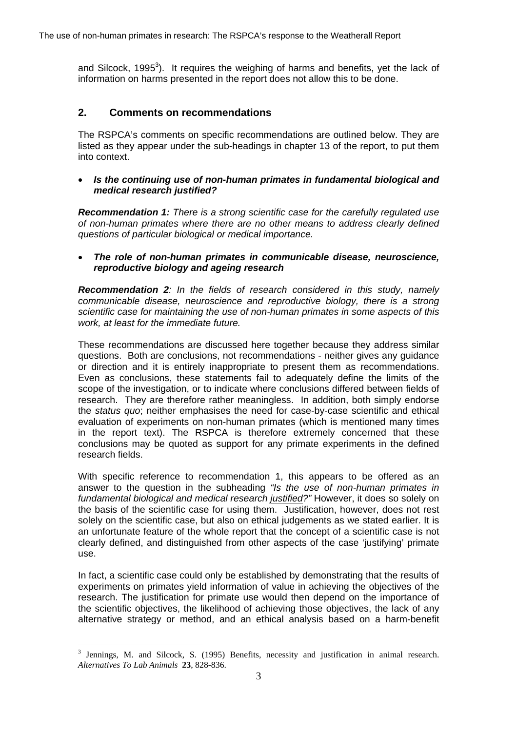and Silcock, 1995<sup>[3](#page-2-0)</sup>). It requires the weighing of harms and benefits, yet the lack of information on harms presented in the report does not allow this to be done.

## **2. Comments on recommendations**

The RSPCA's comments on specific recommendations are outlined below. They are listed as they appear under the sub-headings in chapter 13 of the report, to put them into context.

#### • *Is the continuing use of non-human primates in fundamental biological and medical research justified?*

*Recommendation 1: There is a strong scientific case for the carefully regulated use of non-human primates where there are no other means to address clearly defined questions of particular biological or medical importance.*

#### • *The role of non-human primates in communicable disease, neuroscience, reproductive biology and ageing research*

*Recommendation 2: In the fields of research considered in this study, namely communicable disease, neuroscience and reproductive biology, there is a strong scientific case for maintaining the use of non-human primates in some aspects of this work, at least for the immediate future.*

These recommendations are discussed here together because they address similar questions. Both are conclusions, not recommendations - neither gives any guidance or direction and it is entirely inappropriate to present them as recommendations. Even as conclusions, these statements fail to adequately define the limits of the scope of the investigation, or to indicate where conclusions differed between fields of research. They are therefore rather meaningless. In addition, both simply endorse the *status quo*; neither emphasises the need for case-by-case scientific and ethical evaluation of experiments on non-human primates (which is mentioned many times in the report text). The RSPCA is therefore extremely concerned that these conclusions may be quoted as support for any primate experiments in the defined research fields.

With specific reference to recommendation 1, this appears to be offered as an answer to the question in the subheading *"Is the use of non-human primates in fundamental biological and medical research justified?"* However, it does so solely on the basis of the scientific case for using them. Justification, however, does not rest solely on the scientific case, but also on ethical judgements as we stated earlier. It is an unfortunate feature of the whole report that the concept of a scientific case is not clearly defined, and distinguished from other aspects of the case 'justifying' primate use.

In fact, a scientific case could only be established by demonstrating that the results of experiments on primates yield information of value in achieving the objectives of the research. The justification for primate use would then depend on the importance of the scientific objectives, the likelihood of achieving those objectives, the lack of any alternative strategy or method, and an ethical analysis based on a harm-benefit

<span id="page-2-0"></span> $\overline{a}$ <sup>3</sup> Jennings, M. and Silcock, S. (1995) Benefits, necessity and justification in animal research. *Alternatives To Lab Animals* **23**, 828-836.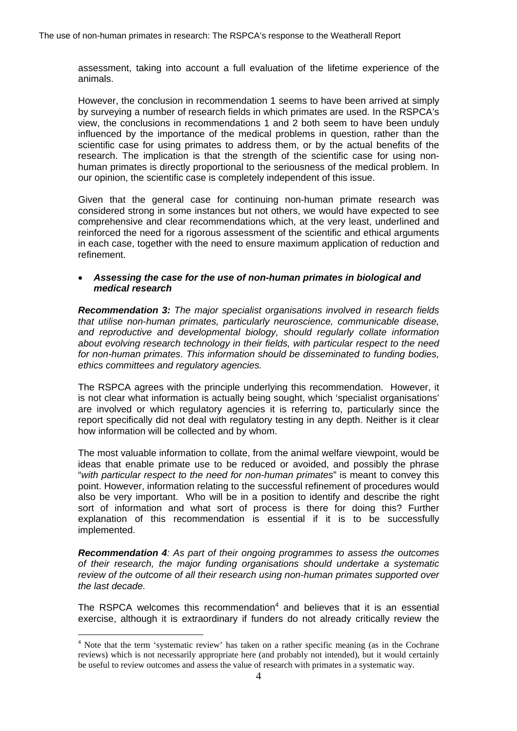assessment, taking into account a full evaluation of the lifetime experience of the animals.

However, the conclusion in recommendation 1 seems to have been arrived at simply by surveying a number of research fields in which primates are used. In the RSPCA's view, the conclusions in recommendations 1 and 2 both seem to have been unduly influenced by the importance of the medical problems in question, rather than the scientific case for using primates to address them, or by the actual benefits of the research. The implication is that the strength of the scientific case for using nonhuman primates is directly proportional to the seriousness of the medical problem. In our opinion, the scientific case is completely independent of this issue.

Given that the general case for continuing non-human primate research was considered strong in some instances but not others, we would have expected to see comprehensive and clear recommendations which, at the very least, underlined and reinforced the need for a rigorous assessment of the scientific and ethical arguments in each case, together with the need to ensure maximum application of reduction and refinement.

#### • *Assessing the case for the use of non-human primates in biological and medical research*

*Recommendation 3: The major specialist organisations involved in research fields that utilise non-human primates, particularly neuroscience, communicable disease, and reproductive and developmental biology, should regularly collate information about evolving research technology in their fields, with particular respect to the need for non-human primates. This information should be disseminated to funding bodies, ethics committees and regulatory agencies.*

The RSPCA agrees with the principle underlying this recommendation. However, it is not clear what information is actually being sought, which 'specialist organisations' are involved or which regulatory agencies it is referring to, particularly since the report specifically did not deal with regulatory testing in any depth. Neither is it clear how information will be collected and by whom.

The most valuable information to collate, from the animal welfare viewpoint, would be ideas that enable primate use to be reduced or avoided, and possibly the phrase "*with particular respect to the need for non-human primates*" is meant to convey this point. However, information relating to the successful refinement of procedures would also be very important. Who will be in a position to identify and describe the right sort of information and what sort of process is there for doing this? Further explanation of this recommendation is essential if it is to be successfully implemented.

*Recommendation 4: As part of their ongoing programmes to assess the outcomes of their research, the major funding organisations should undertake a systematic review of the outcome of all their research using non-human primates supported over the last decade.*

The RSPCA welcomes this recommendation $4$  and believes that it is an essential exercise, although it is extraordinary if funders do not already critically review the

<span id="page-3-0"></span><sup>4</sup> Note that the term 'systematic review' has taken on a rather specific meaning (as in the Cochrane reviews) which is not necessarily appropriate here (and probably not intended), but it would certainly be useful to review outcomes and assess the value of research with primates in a systematic way.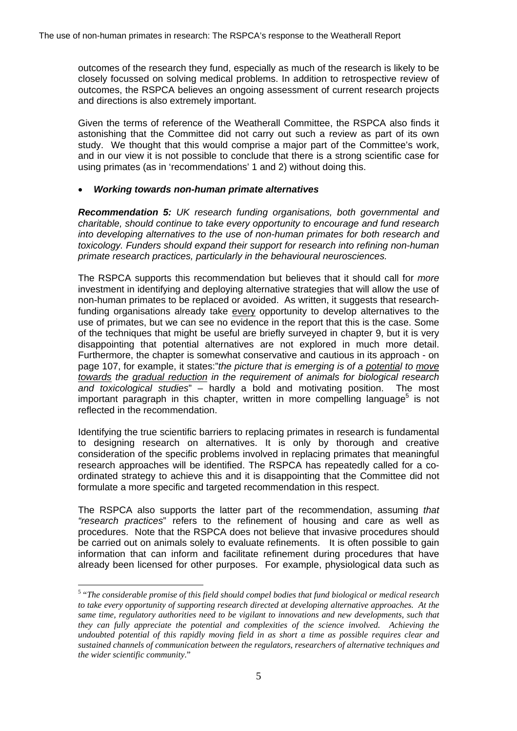outcomes of the research they fund, especially as much of the research is likely to be closely focussed on solving medical problems. In addition to retrospective review of outcomes, the RSPCA believes an ongoing assessment of current research projects and directions is also extremely important.

Given the terms of reference of the Weatherall Committee, the RSPCA also finds it astonishing that the Committee did not carry out such a review as part of its own study. We thought that this would comprise a major part of the Committee's work, and in our view it is not possible to conclude that there is a strong scientific case for using primates (as in 'recommendations' 1 and 2) without doing this.

## • *Working towards non-human primate alternatives*

*Recommendation 5: UK research funding organisations, both governmental and charitable, should continue to take every opportunity to encourage and fund research into developing alternatives to the use of non-human primates for both research and toxicology. Funders should expand their support for research into refining non-human primate research practices, particularly in the behavioural neurosciences.*

The RSPCA supports this recommendation but believes that it should call for *more* investment in identifying and deploying alternative strategies that will allow the use of non-human primates to be replaced or avoided. As written, it suggests that researchfunding organisations already take every opportunity to develop alternatives to the use of primates, but we can see no evidence in the report that this is the case. Some of the techniques that might be useful are briefly surveyed in chapter 9, but it is very disappointing that potential alternatives are not explored in much more detail. Furthermore, the chapter is somewhat conservative and cautious in its approach - on page 107, for example, it states:"*the picture that is emerging is of a potential to move towards the gradual reduction in the requirement of animals for biological research and toxicological studies*" – hardly a bold and motivating position. The most important paragraph in this chapter, written in more compelling language<sup>[5](#page-4-0)</sup> is not reflected in the recommendation.

Identifying the true scientific barriers to replacing primates in research is fundamental to designing research on alternatives. It is only by thorough and creative consideration of the specific problems involved in replacing primates that meaningful research approaches will be identified. The RSPCA has repeatedly called for a coordinated strategy to achieve this and it is disappointing that the Committee did not formulate a more specific and targeted recommendation in this respect.

The RSPCA also supports the latter part of the recommendation, assuming *that "research practices*" refers to the refinement of housing and care as well as procedures. Note that the RSPCA does not believe that invasive procedures should be carried out on animals solely to evaluate refinements. It is often possible to gain information that can inform and facilitate refinement during procedures that have already been licensed for other purposes. For example, physiological data such as

<span id="page-4-0"></span><sup>5</sup> "*The considerable promise of this field should compel bodies that fund biological or medical research to take every opportunity of supporting research directed at developing alternative approaches. At the same time, regulatory authorities need to be vigilant to innovations and new developments, such that they can fully appreciate the potential and complexities of the science involved. Achieving the undoubted potential of this rapidly moving field in as short a time as possible requires clear and sustained channels of communication between the regulators, researchers of alternative techniques and the wider scientific community*."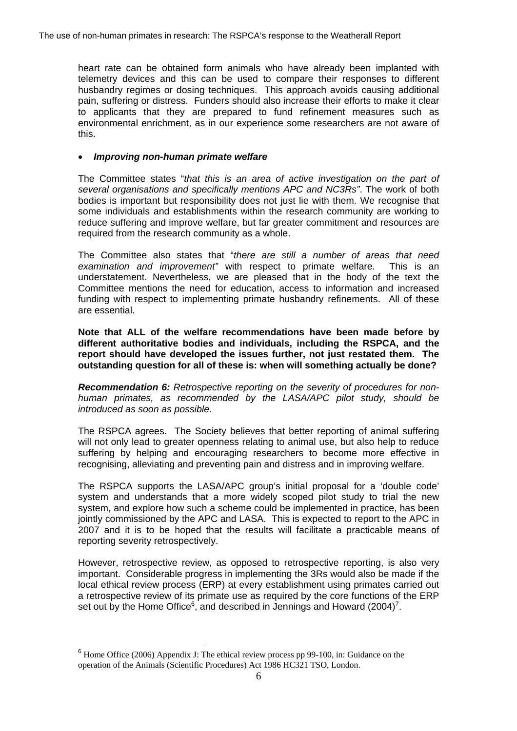heart rate can be obtained form animals who have already been implanted with telemetry devices and this can be used to compare their responses to different husbandry regimes or dosing techniques. This approach avoids causing additional pain, suffering or distress. Funders should also increase their efforts to make it clear to applicants that they are prepared to fund refinement measures such as environmental enrichment, as in our experience some researchers are not aware of this.

## • *Improving non-human primate welfare*

The Committee states "*that this is an area of active investigation on the part of several organisations and specifically mentions APC and NC3Rs"*. The work of both bodies is important but responsibility does not just lie with them. We recognise that some individuals and establishments within the research community are working to reduce suffering and improve welfare, but far greater commitment and resources are required from the research community as a whole.

The Committee also states that "*there are still a number of areas that need examination and improvement"* with respect to primate welfare*.* This is an understatement. Nevertheless, we are pleased that in the body of the text the Committee mentions the need for education, access to information and increased funding with respect to implementing primate husbandry refinements. All of these are essential.

**Note that ALL of the welfare recommendations have been made before by different authoritative bodies and individuals, including the RSPCA, and the report should have developed the issues further, not just restated them. The outstanding question for all of these is: when will something actually be done?**

*Recommendation 6: Retrospective reporting on the severity of procedures for nonhuman primates, as recommended by the LASA/APC pilot study, should be introduced as soon as possible.*

The RSPCA agrees. The Society believes that better reporting of animal suffering will not only lead to greater openness relating to animal use, but also help to reduce suffering by helping and encouraging researchers to become more effective in recognising, alleviating and preventing pain and distress and in improving welfare.

The RSPCA supports the LASA/APC group's initial proposal for a 'double code' system and understands that a more widely scoped pilot study to trial the new system, and explore how such a scheme could be implemented in practice, has been jointly commissioned by the APC and LASA. This is expected to report to the APC in 2007 and it is to be hoped that the results will facilitate a practicable means of reporting severity retrospectively.

<span id="page-5-1"></span>However, retrospective review, as opposed to retrospective reporting, is also very important. Considerable progress in implementing the 3Rs would also be made if the local ethical review process (ERP) at every establishment using primates carried out a retrospective review of its primate use as required by the core functions of the ERP set out by the Home Office<sup>[6](#page-5-0)</sup>, and described in Jennings and Howard (2004)<sup>[7](#page-5-1)</sup>.

<span id="page-5-0"></span><sup>&</sup>lt;sup>6</sup> Home Office (2006) Appendix J: The ethical review process pp 99-100, in: Guidance on the operation of the Animals (Scientific Procedures) Act 1986 HC321 TSO, London.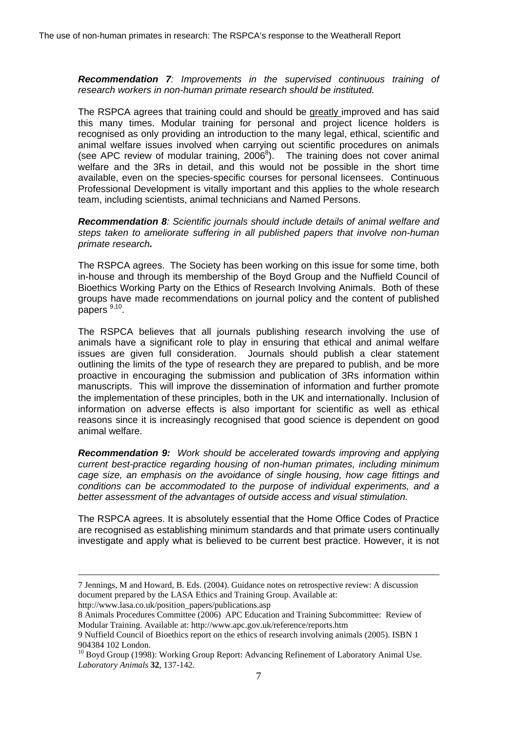*Recommendation 7: Improvements in the supervised continuous training of research workers in non-human primate research should be instituted.*

The RSPCA agrees that training could and should be greatly improved and has said this many times. Modular training for personal and project licence holders is recognised as only providing an introduction to the many legal, ethical, scientific and animal welfare issues involved when carrying out scientific procedures on animals (see APC review of modular training,  $2006^8$  $2006^8$ ). The training does not cover animal welfare and the 3Rs in detail, and this would not be possible in the short time available, even on the species-specific courses for personal licensees. Continuous Professional Development is vitally important and this applies to the whole research team, including scientists, animal technicians and Named Persons.

*Recommendation 8: Scientific journals should include details of animal welfare and steps taken to ameliorate suffering in all published papers that involve non-human primate research.*

The RSPCA agrees. The Society has been working on this issue for some time, both in-house and through its membership of the Boyd Group and the Nuffield Council of Bioethics Working Party on the Ethics of Research Involving Animals. Both of these groups have made recommendations on journal policy and the content of published papers  $9,10$  $9,10$ .

The RSPCA believes that all journals publishing research involving the use of animals have a significant role to play in ensuring that ethical and animal welfare issues are given full consideration. Journals should publish a clear statement outlining the limits of the type of research they are prepared to publish, and be more proactive in encouraging the submission and publication of 3Rs information within manuscripts. This will improve the dissemination of information and further promote the implementation of these principles, both in the UK and internationally. Inclusion of information on adverse effects is also important for scientific as well as ethical reasons since it is increasingly recognised that good science is dependent on good animal welfare.

*Recommendation 9: Work should be accelerated towards improving and applying current best-practice regarding housing of non-human primates, including minimum cage size, an emphasis on the avoidance of single housing, how cage fittings and conditions can be accommodated to the purpose of individual experiments, and a better assessment of the advantages of outside access and visual stimulation.*

The RSPCA agrees. It is absolutely essential that the Home Office Codes of Practice are recognised as establishing minimum standards and that primate users continually investigate and apply what is believed to be current best practice. However, it is not

http://www.lasa.co.uk/position\_papers/publications.asp

 <sup>7</sup> Jennings, M and Howard, B. Eds. (2004). Guidance notes on retrospective review: A discussion document prepared by the LASA Ethics and Training Group. Available at:

<span id="page-6-0"></span><sup>8</sup> Animals Procedures Committee (2006) APC Education and Training Subcommittee: Review of Modular Training. Available at: http://www.apc.gov.uk/reference/reports.htm

<span id="page-6-1"></span><sup>9</sup> Nuffield Council of Bioethics report on the ethics of research involving animals (2005). ISBN 1 904384 102 London.

<span id="page-6-2"></span><sup>&</sup>lt;sup>10</sup> Boyd Group (1998): Working Group Report: Advancing Refinement of Laboratory Animal Use. *Laboratory Animals* **32**, 137-142.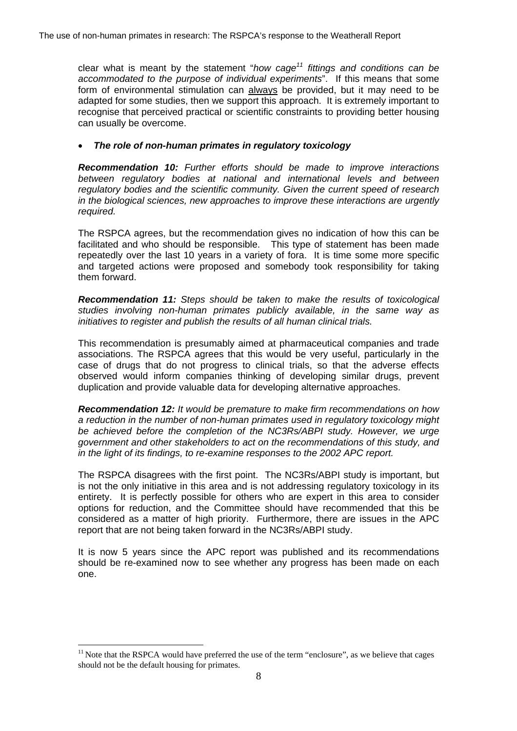clear what is meant by the statement "*how cag[e11](#page-7-0) fittings and conditions can be accommodated to the purpose of individual experiments*". If this means that some form of environmental stimulation can always be provided, but it may need to be adapted for some studies, then we support this approach. It is extremely important to recognise that perceived practical or scientific constraints to providing better housing can usually be overcome.

## • *The role of non-human primates in regulatory toxicology*

*Recommendation 10: Further efforts should be made to improve interactions between regulatory bodies at national and international levels and between regulatory bodies and the scientific community. Given the current speed of research in the biological sciences, new approaches to improve these interactions are urgently required.*

The RSPCA agrees, but the recommendation gives no indication of how this can be facilitated and who should be responsible. This type of statement has been made repeatedly over the last 10 years in a variety of fora. It is time some more specific and targeted actions were proposed and somebody took responsibility for taking them forward.

*Recommendation 11: Steps should be taken to make the results of toxicological studies involving non-human primates publicly available, in the same way as initiatives to register and publish the results of all human clinical trials.*

This recommendation is presumably aimed at pharmaceutical companies and trade associations. The RSPCA agrees that this would be very useful, particularly in the case of drugs that do not progress to clinical trials, so that the adverse effects observed would inform companies thinking of developing similar drugs, prevent duplication and provide valuable data for developing alternative approaches.

*Recommendation 12: It would be premature to make firm recommendations on how a reduction in the number of non-human primates used in regulatory toxicology might be achieved before the completion of the NC3Rs/ABPI study. However, we urge government and other stakeholders to act on the recommendations of this study, and in the light of its findings, to re-examine responses to the 2002 APC report.*

The RSPCA disagrees with the first point. The NC3Rs/ABPI study is important, but is not the only initiative in this area and is not addressing regulatory toxicology in its entirety. It is perfectly possible for others who are expert in this area to consider options for reduction, and the Committee should have recommended that this be considered as a matter of high priority. Furthermore, there are issues in the APC report that are not being taken forward in the NC3Rs/ABPI study.

It is now 5 years since the APC report was published and its recommendations should be re-examined now to see whether any progress has been made on each one.

<span id="page-7-0"></span> $\overline{a}$  $11$  Note that the RSPCA would have preferred the use of the term "enclosure", as we believe that cages should not be the default housing for primates.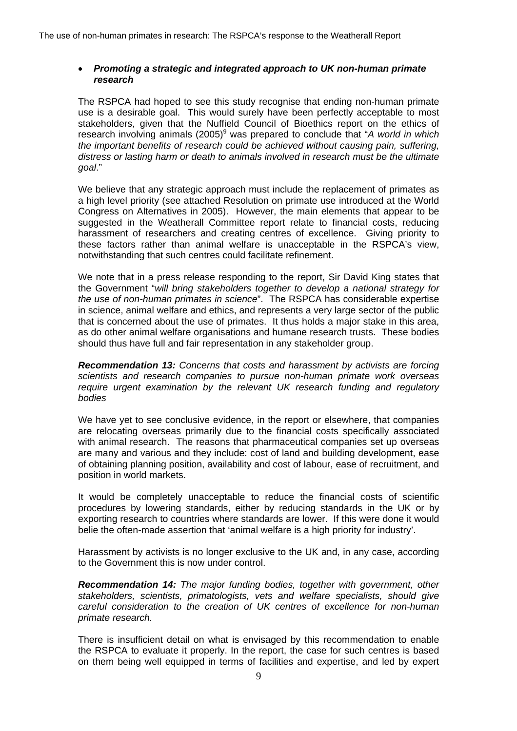## • *Promoting a strategic and integrated approach to UK non-human primate research*

The RSPCA had hoped to see this study recognise that ending non-human primate use is a desirable goal. This would surely have been perfectly acceptable to most stakeholders, given that the Nuffield Council of Bioethics report on the ethics of research involving animals (2005)<sup>9</sup> was prepared to conclude that "A world in which *the important benefits of research could be achieved without causing pain, suffering, distress or lasting harm or death to animals involved in research must be the ultimate goal*."

We believe that any strategic approach must include the replacement of primates as a high level priority (see attached Resolution on primate use introduced at the World Congress on Alternatives in 2005). However, the main elements that appear to be suggested in the Weatherall Committee report relate to financial costs, reducing harassment of researchers and creating centres of excellence. Giving priority to these factors rather than animal welfare is unacceptable in the RSPCA's view, notwithstanding that such centres could facilitate refinement.

We note that in a press release responding to the report, Sir David King states that the Government "*will bring stakeholders together to develop a national strategy for the use of non-human primates in science*". The RSPCA has considerable expertise in science, animal welfare and ethics, and represents a very large sector of the public that is concerned about the use of primates. It thus holds a major stake in this area, as do other animal welfare organisations and humane research trusts. These bodies should thus have full and fair representation in any stakeholder group.

*Recommendation 13: Concerns that costs and harassment by activists are forcing scientists and research companies to pursue non-human primate work overseas require urgent examination by the relevant UK research funding and regulatory bodies*

We have yet to see conclusive evidence, in the report or elsewhere, that companies are relocating overseas primarily due to the financial costs specifically associated with animal research. The reasons that pharmaceutical companies set up overseas are many and various and they include: cost of land and building development, ease of obtaining planning position, availability and cost of labour, ease of recruitment, and position in world markets.

It would be completely unacceptable to reduce the financial costs of scientific procedures by lowering standards, either by reducing standards in the UK or by exporting research to countries where standards are lower. If this were done it would belie the often-made assertion that 'animal welfare is a high priority for industry'.

Harassment by activists is no longer exclusive to the UK and, in any case, according to the Government this is now under control.

*Recommendation 14: The major funding bodies, together with government, other stakeholders, scientists, primatologists, vets and welfare specialists, should give careful consideration to the creation of UK centres of excellence for non-human primate research.*

There is insufficient detail on what is envisaged by this recommendation to enable the RSPCA to evaluate it properly. In the report, the case for such centres is based on them being well equipped in terms of facilities and expertise, and led by expert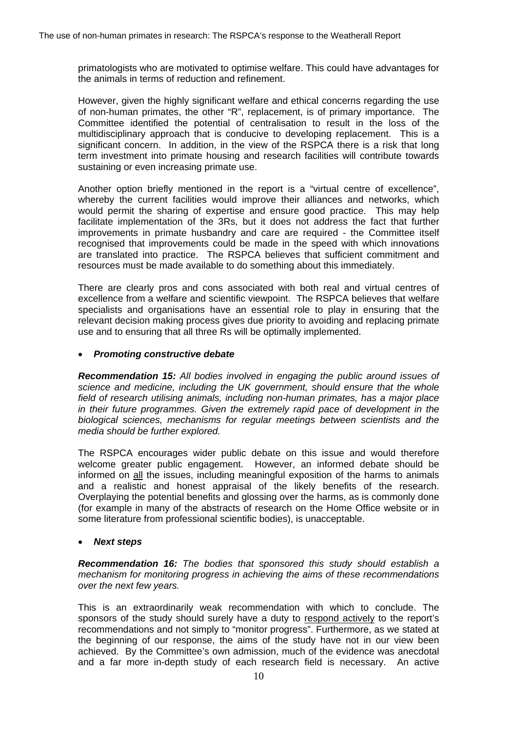primatologists who are motivated to optimise welfare. This could have advantages for the animals in terms of reduction and refinement.

However, given the highly significant welfare and ethical concerns regarding the use of non-human primates, the other "R", replacement, is of primary importance. The Committee identified the potential of centralisation to result in the loss of the multidisciplinary approach that is conducive to developing replacement. This is a significant concern. In addition, in the view of the RSPCA there is a risk that long term investment into primate housing and research facilities will contribute towards sustaining or even increasing primate use.

Another option briefly mentioned in the report is a "virtual centre of excellence", whereby the current facilities would improve their alliances and networks, which would permit the sharing of expertise and ensure good practice. This may help facilitate implementation of the 3Rs, but it does not address the fact that further improvements in primate husbandry and care are required - the Committee itself recognised that improvements could be made in the speed with which innovations are translated into practice. The RSPCA believes that sufficient commitment and resources must be made available to do something about this immediately.

There are clearly pros and cons associated with both real and virtual centres of excellence from a welfare and scientific viewpoint. The RSPCA believes that welfare specialists and organisations have an essential role to play in ensuring that the relevant decision making process gives due priority to avoiding and replacing primate use and to ensuring that all three Rs will be optimally implemented.

#### • *Promoting constructive debate*

*Recommendation 15: All bodies involved in engaging the public around issues of science and medicine, including the UK government, should ensure that the whole field of research utilising animals, including non-human primates, has a major place in their future programmes. Given the extremely rapid pace of development in the biological sciences, mechanisms for regular meetings between scientists and the media should be further explored.*

The RSPCA encourages wider public debate on this issue and would therefore welcome greater public engagement. However, an informed debate should be informed on all the issues, including meaningful exposition of the harms to animals and a realistic and honest appraisal of the likely benefits of the research. Overplaying the potential benefits and glossing over the harms, as is commonly done (for example in many of the abstracts of research on the Home Office website or in some literature from professional scientific bodies), is unacceptable.

#### • *Next steps*

*Recommendation 16: The bodies that sponsored this study should establish a mechanism for monitoring progress in achieving the aims of these recommendations over the next few years.*

This is an extraordinarily weak recommendation with which to conclude. The sponsors of the study should surely have a duty to respond actively to the report's recommendations and not simply to "monitor progress". Furthermore, as we stated at the beginning of our response, the aims of the study have not in our view been achieved. By the Committee's own admission, much of the evidence was anecdotal and a far more in-depth study of each research field is necessary. An active